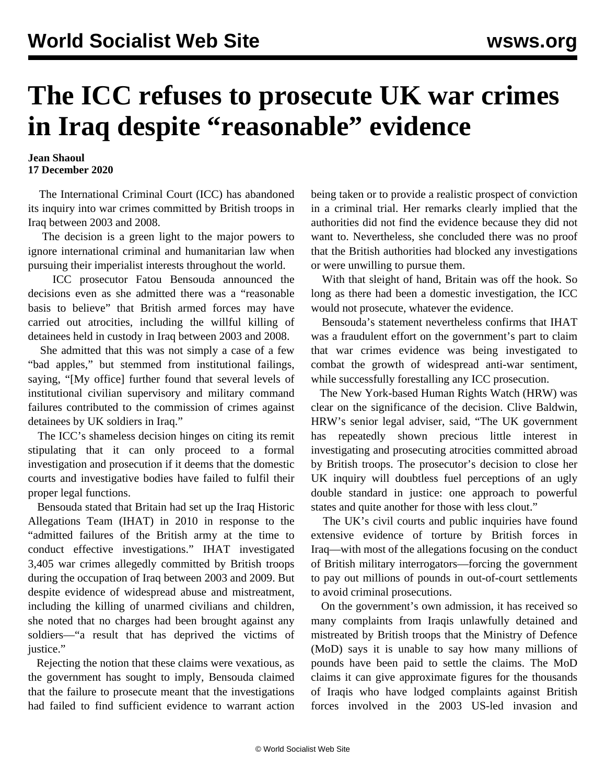## **The ICC refuses to prosecute UK war crimes in Iraq despite "reasonable" evidence**

**Jean Shaoul 17 December 2020**

 The International Criminal Court (ICC) has abandoned its inquiry into war crimes committed by British troops in Iraq between 2003 and 2008.

 The decision is a green light to the major powers to ignore international criminal and humanitarian law when pursuing their imperialist interests throughout the world.

 ICC prosecutor Fatou Bensouda announced the decisions even as she admitted there was a "reasonable basis to believe" that British armed forces may have carried out atrocities, including the willful killing of detainees held in custody in Iraq between 2003 and 2008.

 She admitted that this was not simply a case of a few "bad apples," but stemmed from institutional failings, saying, "[My office] further found that several levels of institutional civilian supervisory and military command failures contributed to the commission of crimes against detainees by UK soldiers in Iraq."

 The ICC's shameless decision hinges on citing its remit stipulating that it can only proceed to a formal investigation and prosecution if it deems that the domestic courts and investigative bodies have failed to fulfil their proper legal functions.

 Bensouda stated that Britain had set up the Iraq Historic Allegations Team (IHAT) in 2010 in response to the "admitted failures of the British army at the time to conduct effective investigations." IHAT investigated 3,405 war crimes allegedly committed by British troops during the occupation of Iraq between 2003 and 2009. But despite evidence of widespread abuse and mistreatment, including the killing of unarmed civilians and children, she noted that no charges had been brought against any soldiers—"a result that has deprived the victims of justice."

 Rejecting the notion that these claims were vexatious, as the government has sought to imply, Bensouda claimed that the failure to prosecute meant that the investigations had failed to find sufficient evidence to warrant action being taken or to provide a realistic prospect of conviction in a criminal trial. Her remarks clearly implied that the authorities did not find the evidence because they did not want to. Nevertheless, she concluded there was no proof that the British authorities had blocked any investigations or were unwilling to pursue them.

 With that sleight of hand, Britain was off the hook. So long as there had been a domestic investigation, the ICC would not prosecute, whatever the evidence.

 Bensouda's statement nevertheless confirms that IHAT was a fraudulent effort on the government's part to claim that war crimes evidence was being investigated to combat the growth of widespread anti-war sentiment, while successfully forestalling any ICC prosecution.

 The New York-based Human Rights Watch (HRW) was clear on the significance of the decision. Clive Baldwin, HRW's senior legal adviser, said, "The UK government has repeatedly shown precious little interest in investigating and prosecuting atrocities committed abroad by British troops. The prosecutor's decision to close her UK inquiry will doubtless fuel perceptions of an ugly double standard in justice: one approach to powerful states and quite another for those with less clout."

 The UK's civil courts and public inquiries have found extensive evidence of torture by British forces in Iraq—with most of the allegations focusing on the conduct of British military interrogators—forcing the government to pay out millions of pounds in out-of-court settlements to avoid criminal prosecutions.

 On the government's own admission, it has received so many complaints from Iraqis unlawfully detained and mistreated by British troops that the Ministry of Defence (MoD) says it is unable to say how many millions of pounds have been paid to settle the claims. The MoD claims it can give approximate figures for the thousands of Iraqis who have lodged complaints against British forces involved in the 2003 US-led invasion and